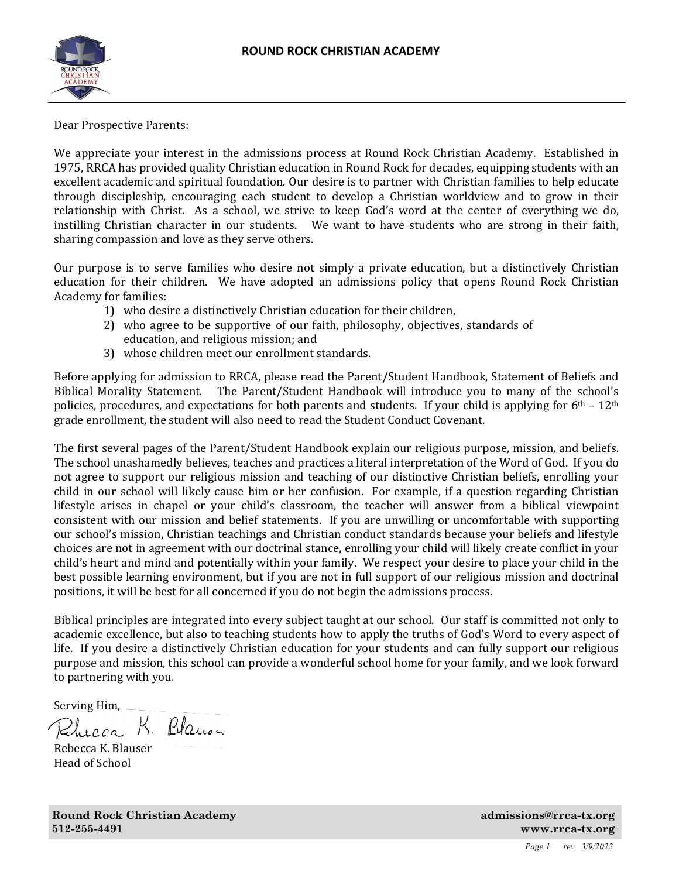

Dear Prospective Parents:

We appreciate your interest in the admissions process at Round Rock Christian Academy. Established in 1975, RRCA has provided quality Christian education in Round Rock for decades, equipping students with an excellent academic and spiritual foundation. Our desire is to partner with Christian families to help educate through discipleship, encouraging each student to develop a Christian worldview and to grow in their relationship with Christ. As a school, we strive to keep God's word at the center of everything we do, instilling Christian character in our students. We want to have students who are strong in their faith, sharing compassion and love as they serve others.

Our purpose is to serve families who desire not simply a private education, but a distinctively Christian education for their children. We have adopted an admissions policy that opens Round Rock Christian Academy for families:

- 1) who desire a distinctively Christian education for their children,
- 2) who agree to be supportive of our faith, philosophy, objectives, standards of education, and religious mission; and
- 3) whose children meet our enrollment standards.

Before applying for admission to RRCA, please read the Parent/Student Handbook, Statement of Beliefs and Biblical Morality Statement. The Parent/Student Handbook will introduce you to many of the school's policies, procedures, and expectations for both parents and students. If your child is applying for  $6<sup>th</sup> - 12<sup>th</sup>$ grade enrollment, the student will also need to read the Student Conduct Covenant.

The first several pages of the Parent/Student Handbook explain our religious purpose, mission, and beliefs. The school unashamedly believes, teaches and practices a literal interpretation of the Word of God. If you do not agree to support our religious mission and teaching of our distinctive Christian beliefs, enrolling your child in our school will likely cause him or her confusion. For example, if a question regarding Christian lifestyle arises in chapel or your child's classroom, the teacher will answer from a biblical viewpoint consistent with our mission and belief statements. If you are unwilling or uncomfortable with supporting our school's mission, Christian teachings and Christian conduct standards because your beliefs and lifestyle choices are not in agreement with our doctrinal stance, enrolling your child will likely create conflict in your child's heart and mind and potentially within your family. We respect your desire to place your child in the best possible learning environment, but if you are not in full support of our religious mission and doctrinal positions, it will be best for all concerned if you do not begin the admissions process.

Biblical principles are integrated into every subject taught at our school. Our staff is committed not only to academic excellence, but also to teaching students how to apply the truths of God's Word to every aspect of life. If you desire a distinctively Christian education for your students and can fully support our religious purpose and mission, this school can provide a wonderful school home for your family, and we look forward to partnering with you.

Serving Him,  $R$ . Blauser

Rebecca K. Blauser Head of School

**Round Rock Christian Academy admissions@rrca-tx.org 3.1 Academy admissions admissions admissions admissions admissions admissions admissions admissions admissions admissions admissions admissions admissions admissions adm 512-255-4491 www.rrca-tx.org** 

*Page 1 rev. 3/9/2022*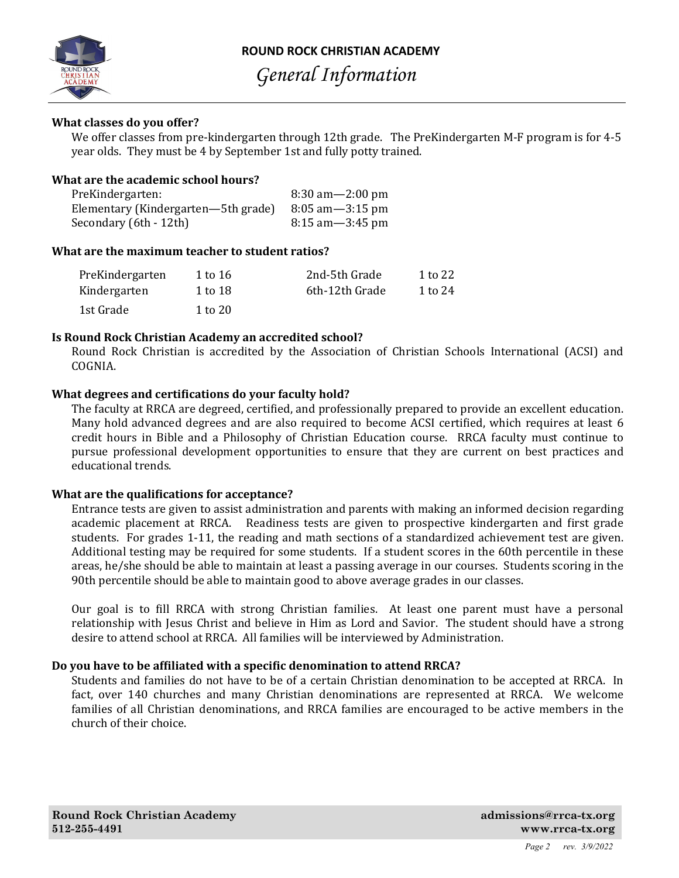

**ROUND ROCK CHRISTIAN ACADEMY** 

*General Information*

## **What classes do you offer?**

We offer classes from pre-kindergarten through 12th grade. The PreKindergarten M-F program is for 4-5 year olds. They must be 4 by September 1st and fully potty trained.

## **What are the academic school hours?**

| PreKindergarten:                    | $8:30 \text{ am} - 2:00 \text{ pm}$ |
|-------------------------------------|-------------------------------------|
| Elementary (Kindergarten—5th grade) | $8:05$ am $-3:15$ pm                |
| Secondary (6th - 12th)              | $8:15$ am $-3:45$ pm                |

## **What are the maximum teacher to student ratios?**

| PreKindergarten | 1 to 16 | 2nd-5th Grade  | 1 to 22 |
|-----------------|---------|----------------|---------|
| Kindergarten    | 1 to 18 | 6th-12th Grade | 1 to 24 |
| 1st Grade       | 1 to 20 |                |         |

## **Is Round Rock Christian Academy an accredited school?**

Round Rock Christian is accredited by the Association of Christian Schools International (ACSI) and COGNIA.

## **What degrees and certifications do your faculty hold?**

The faculty at RRCA are degreed, certified, and professionally prepared to provide an excellent education. Many hold advanced degrees and are also required to become ACSI certified, which requires at least 6 credit hours in Bible and a Philosophy of Christian Education course. RRCA faculty must continue to pursue professional development opportunities to ensure that they are current on best practices and educational trends.

## **What** are the qualifications for acceptance?

Entrance tests are given to assist administration and parents with making an informed decision regarding academic placement at RRCA. Readiness tests are given to prospective kindergarten and first grade students. For grades 1-11, the reading and math sections of a standardized achievement test are given. Additional testing may be required for some students. If a student scores in the 60th percentile in these areas, he/she should be able to maintain at least a passing average in our courses. Students scoring in the 90th percentile should be able to maintain good to above average grades in our classes.

Our goal is to fill RRCA with strong Christian families. At least one parent must have a personal relationship with Jesus Christ and believe in Him as Lord and Savior. The student should have a strong desire to attend school at RRCA. All families will be interviewed by Administration.

## **Do you have to be afϐiliated with a speciϐic denomination to attend RRCA?**

Students and families do not have to be of a certain Christian denomination to be accepted at RRCA. In fact, over 140 churches and many Christian denominations are represented at RRCA. We welcome families of all Christian denominations, and RRCA families are encouraged to be active members in the church of their choice.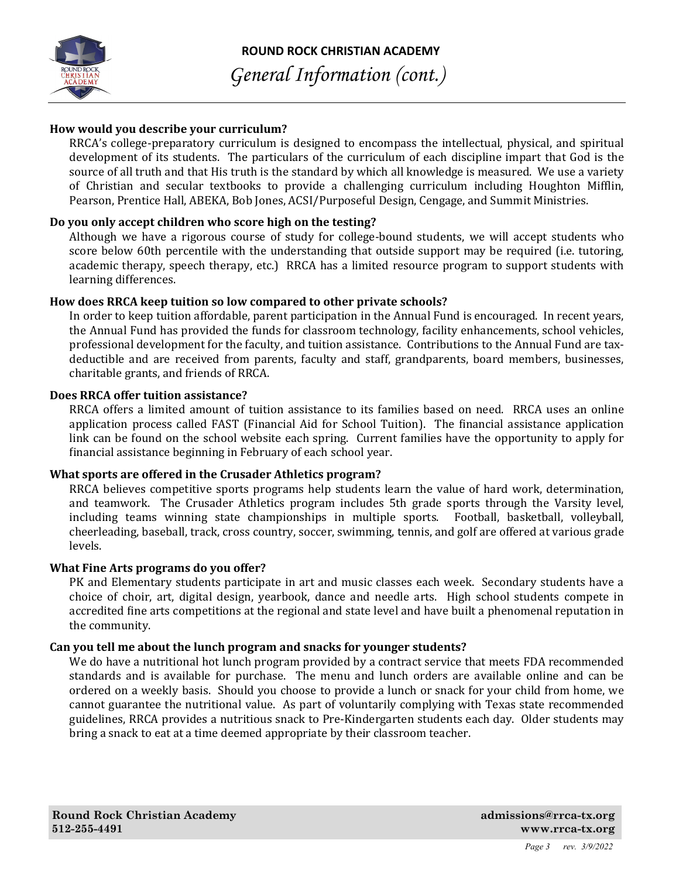

# **How would you describe your curriculum?**

RRCA's college-preparatory curriculum is designed to encompass the intellectual, physical, and spiritual development of its students. The particulars of the curriculum of each discipline impart that God is the source of all truth and that His truth is the standard by which all knowledge is measured. We use a variety of Christian and secular textbooks to provide a challenging curriculum including Houghton Mifflin, Pearson, Prentice Hall, ABEKA, Bob Jones, ACSI/Purposeful Design, Cengage, and Summit Ministries.

# **Do you only accept children who score high on the testing?**

Although we have a rigorous course of study for college-bound students, we will accept students who score below 60th percentile with the understanding that outside support may be required (i.e. tutoring, academic therapy, speech therapy, etc.) RRCA has a limited resource program to support students with learning differences.

# **How does RRCA keep tuition so low compared to other private schools?**

In order to keep tuition affordable, parent participation in the Annual Fund is encouraged. In recent years, the Annual Fund has provided the funds for classroom technology, facility enhancements, school vehicles, professional development for the faculty, and tuition assistance. Contributions to the Annual Fund are taxdeductible and are received from parents, faculty and staff, grandparents, board members, businesses, charitable grants, and friends of RRCA.

## **Does RRCA offer tuition assistance?**

RRCA offers a limited amount of tuition assistance to its families based on need. RRCA uses an online application process called FAST (Financial Aid for School Tuition). The financial assistance application link can be found on the school website each spring. Current families have the opportunity to apply for financial assistance beginning in February of each school year.

# **What sports are offered in the Crusader Athletics program?**

RRCA believes competitive sports programs help students learn the value of hard work, determination, and teamwork. The Crusader Athletics program includes 5th grade sports through the Varsity level, including teams winning state championships in multiple sports. Football, basketball, volleyball, cheerleading, baseball, track, cross country, soccer, swimming, tennis, and golf are offered at various grade levels.

# **What Fine Arts programs do you offer?**

PK and Elementary students participate in art and music classes each week. Secondary students have a choice of choir, art, digital design, yearbook, dance and needle arts. High school students compete in accredited fine arts competitions at the regional and state level and have built a phenomenal reputation in the community.

# **Can you tell me about the lunch program and snacks for younger students?**

We do have a nutritional hot lunch program provided by a contract service that meets FDA recommended standards and is available for purchase. The menu and lunch orders are available online and can be ordered on a weekly basis. Should you choose to provide a lunch or snack for your child from home, we cannot guarantee the nutritional value. As part of voluntarily complying with Texas state recommended guidelines, RRCA provides a nutritious snack to Pre-Kindergarten students each day. Older students may bring a snack to eat at a time deemed appropriate by their classroom teacher.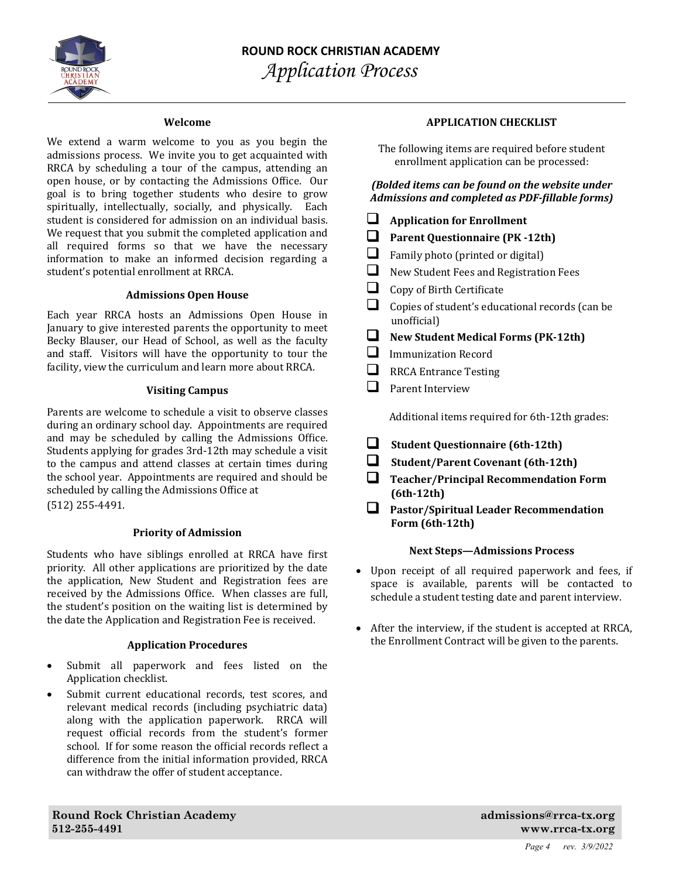

#### **Welcome**

We extend a warm welcome to you as you begin the admissions process. We invite you to get acquainted with RRCA by scheduling a tour of the campus, attending an open house, or by contacting the Admissions Office. Our goal is to bring together students who desire to grow spiritually, intellectually, socially, and physically. Each student is considered for admission on an individual basis. We request that you submit the completed application and all required forms so that we have the necessary information to make an informed decision regarding a student's potential enrollment at RRCA.

#### **Admissions Open House**

Each year RRCA hosts an Admissions Open House in January to give interested parents the opportunity to meet Becky Blauser, our Head of School, as well as the faculty and staff. Visitors will have the opportunity to tour the facility, view the curriculum and learn more about RRCA.

#### **Visiting Campus**

Parents are welcome to schedule a visit to observe classes during an ordinary school day. Appointments are required and may be scheduled by calling the Admissions Office. Students applying for grades 3rd-12th may schedule a visit to the campus and attend classes at certain times during the school year. Appointments are required and should be scheduled by calling the Admissions Office at (512) 255-4491.

#### **Priority of Admission**

Students who have siblings enrolled at RRCA have first priority. All other applications are prioritized by the date the application, New Student and Registration fees are received by the Admissions Office. When classes are full, the student's position on the waiting list is determined by the date the Application and Registration Fee is received.

#### **Application Procedures**

- Submit all paperwork and fees listed on the Application checklist.
- Submit current educational records, test scores, and relevant medical records (including psychiatric data) along with the application paperwork. RRCA will request official records from the student's former school. If for some reason the official records reflect a difference from the initial information provided, RRCA can withdraw the offer of student acceptance.

#### **APPLICATION CHECKLIST**

The following items are required before student enrollment application can be processed:

*(Bolded items can be found on the website under Admissions and completed as PDF‐ϔillable forms)*

|   | <b>Application for Enrollment</b>                              |
|---|----------------------------------------------------------------|
|   | <b>Parent Questionnaire (PK-12th)</b>                          |
| ப | Family photo (printed or digital)                              |
| ப | New Student Fees and Registration Fees                         |
| ш | Copy of Birth Certificate                                      |
|   | Copies of student's educational records (can be<br>unofficial) |
|   | <b>New Student Medical Forms (PK-12th)</b>                     |
|   | Immunization Record                                            |
|   | <b>RRCA Entrance Testing</b>                                   |
|   | Parent Interview                                               |
|   |                                                                |

Additional items required for 6th-12th grades:

- **Student Questionnaire (6th‐12th)**
- **Student/Parent Covenant (6th‐12th)**
- **Teacher/Principal Recommendation Form (6th‐12th)**

 **Pastor/Spiritual Leader Recommendation Form (6th‐12th)**

#### **Next Steps—Admissions Process**

- Upon receipt of all required paperwork and fees, if space is available, parents will be contacted to schedule a student testing date and parent interview.
- After the interview, if the student is accepted at RRCA, the Enrollment Contract will be given to the parents.

**Round Rock Christian Academy admissions@rrca-tx.org 512-255-4491 www.rrca-tx.org**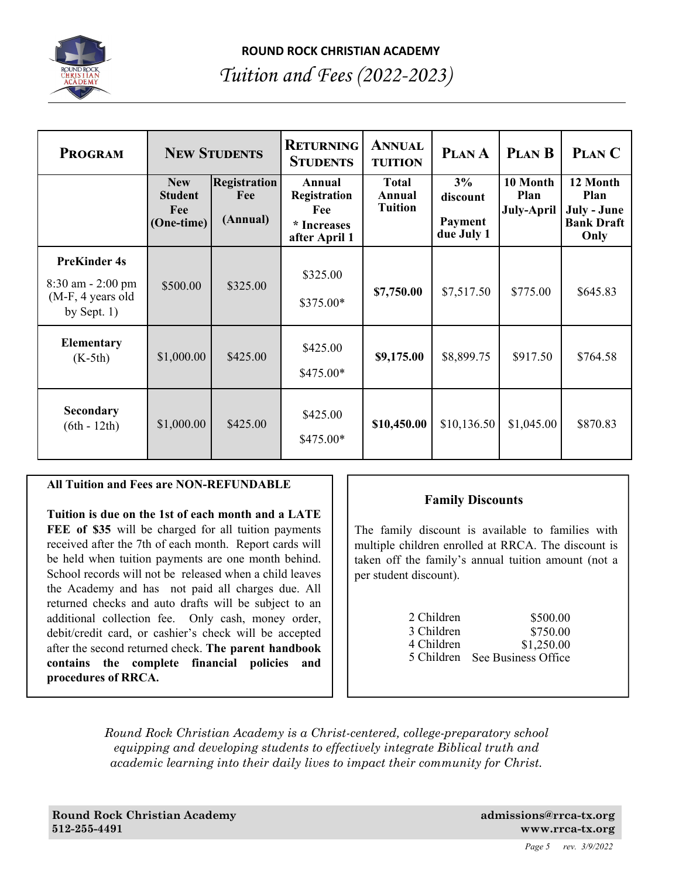

# *Tuition and Fees (2022-2023)*

| <b>PROGRAM</b>                                                                       |                                                   | <b>NEW STUDENTS</b>                    | <b>RETURNING</b><br><b>STUDENTS</b>                           | <b>ANNUAL</b><br><b>TUITION</b>          | PLAN A                                  | <b>PLAN B</b>                  | PLAN C                                                       |
|--------------------------------------------------------------------------------------|---------------------------------------------------|----------------------------------------|---------------------------------------------------------------|------------------------------------------|-----------------------------------------|--------------------------------|--------------------------------------------------------------|
|                                                                                      | <b>New</b><br><b>Student</b><br>Fee<br>(One-time) | <b>Registration</b><br>Fee<br>(Annual) | Annual<br>Registration<br>Fee<br>* Increases<br>after April 1 | <b>Total</b><br>Annual<br><b>Tuition</b> | 3%<br>discount<br>Payment<br>due July 1 | 10 Month<br>Plan<br>July-April | 12 Month<br>Plan<br>July - June<br><b>Bank Draft</b><br>Only |
| <b>PreKinder 4s</b><br>$8:30$ am $- 2:00$ pm<br>$(M-F, 4$ years old<br>by Sept. $1)$ | \$500.00                                          | \$325.00                               | \$325.00<br>$$375.00*$                                        | \$7,750.00                               | \$7,517.50                              | \$775.00                       | \$645.83                                                     |
| <b>Elementary</b><br>$(K-5th)$                                                       | \$1,000.00                                        | \$425.00                               | \$425.00<br>$$475.00*$                                        | \$9,175.00                               | \$8,899.75                              | \$917.50                       | \$764.58                                                     |
| <b>Secondary</b><br>$(6th - 12th)$                                                   | \$1,000.00                                        | \$425.00                               | \$425.00<br>$$475.00*$                                        | \$10,450.00                              | \$10,136.50                             | \$1,045.00                     | \$870.83                                                     |

# **All Tuition and Fees are NON-REFUNDABLE**

**Tuition is due on the 1st of each month and a LATE FEE of \$35** will be charged for all tuition payments received after the 7th of each month. Report cards will be held when tuition payments are one month behind. School records will not be released when a child leaves the Academy and has not paid all charges due. All returned checks and auto drafts will be subject to an additional collection fee. Only cash, money order, debit/credit card, or cashier's check will be accepted after the second returned check. **The parent handbook contains the complete financial policies and procedures of RRCA.** 

# **Family Discounts**

The family discount is available to families with multiple children enrolled at RRCA. The discount is taken off the family's annual tuition amount (not a per student discount).

| 2 Children | \$500.00            |
|------------|---------------------|
| 3 Children | \$750.00            |
| 4 Children | \$1,250.00          |
| 5 Children | See Business Office |

*Round Rock Christian Academy is a Christ-centered, college-preparatory school equipping and developing students to effectively integrate Biblical truth and academic learning into their daily lives to impact their community for Christ.*